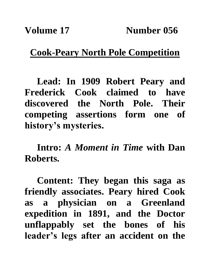## **Cook-Peary North Pole Competition**

**Lead: In 1909 Robert Peary and Frederick Cook claimed to have discovered the North Pole. Their competing assertions form one of history's mysteries.**

**Intro:** *A Moment in Time* **with Dan Roberts.**

**Content: They began this saga as friendly associates. Peary hired Cook as a physician on a Greenland expedition in 1891, and the Doctor unflappably set the bones of his leader's legs after an accident on the**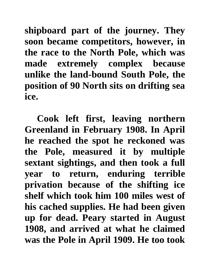**shipboard part of the journey. They soon became competitors, however, in the race to the North Pole, which was made extremely complex because unlike the land-bound South Pole, the position of 90 North sits on drifting sea ice.**

**Cook left first, leaving northern Greenland in February 1908. In April he reached the spot he reckoned was the Pole, measured it by multiple sextant sightings, and then took a full year to return, enduring terrible privation because of the shifting ice shelf which took him 100 miles west of his cached supplies. He had been given up for dead. Peary started in August 1908, and arrived at what he claimed was the Pole in April 1909. He too took**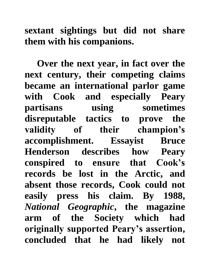**sextant sightings but did not share them with his companions.**

**Over the next year, in fact over the next century, their competing claims became an international parlor game with Cook and especially Peary partisans using sometimes disreputable tactics to prove the validity of their champion's accomplishment. Essayist Bruce Henderson describes how Peary conspired to ensure that Cook's records be lost in the Arctic, and absent those records, Cook could not easily press his claim. By 1988,**  *National Geographic***, the magazine arm of the Society which had originally supported Peary's assertion, concluded that he had likely not**